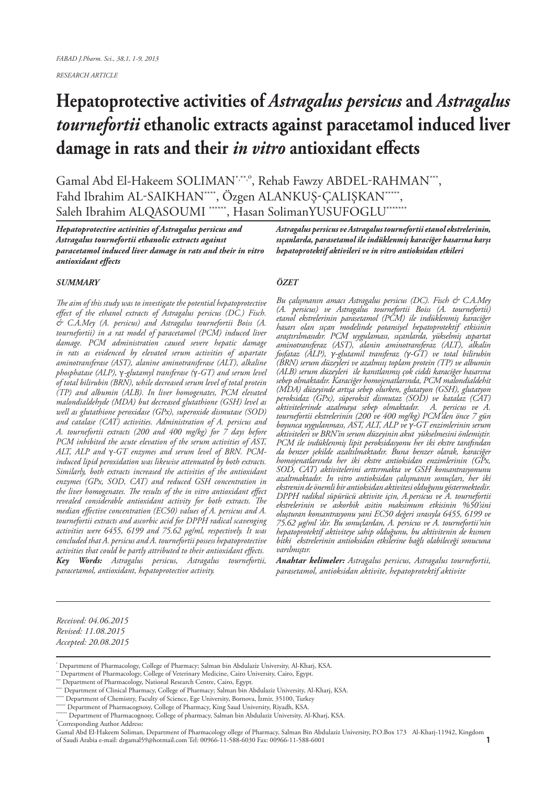*RESEARCH ARTICLE*

# **Hepatoprotective activities of** *Astragalus persicus* **and** *Astragalus tournefortii* **ethanolic extracts against paracetamol induced liver damage in rats and their** *in vitro* **antioxidant effects**

Gamal Abd El-Hakeem SOLIMAN<sup>\*,\*\*,o</sup>, Rehab Fawzy ABDEL-RAHMAN<sup>\*\*\*</sup>, Fahd Ibrahim AL-SAIKHAN\*\*\*\*, Özgen ALANKUŞ-ÇALIŞKAN\*\*\*\*\*, Saleh Ibrahim ALQASOUMI \*\*\*\*\*\*, Hasan SolimanYUSUFOGLU\*\*\*\*\*\*\*

*Hepatoprotective activities of Astragalus persicus and Astragalus tournefortii ethanolic extracts against paracetamol induced liver damage in rats and their in vitro antioxidant effects*

#### *SUMMARY*

*The aim of this study was to investigate the potential hepatoprotective effect of the ethanol extracts of Astragalus persicus (DC.) Fisch. & C.A.Mey (A. persicus) and Astragalus tournefortii Boiss (A. tournefortii) in a rat model of paracetamol (PCM) induced liver damage. PCM administration caused severe hepatic damage in rats as evidenced by elevated serum activities of aspartate aminotransferase (AST), alanine aminotransferase (ALT), alkaline phosphatase (ALP),* γ*-glutamyl transferase (*γ*-GT) and serum level of total bilirubin (BRN), while decreased serum level of total protein (TP) and albumin (ALB). In liver homogenates, PCM elevated malondialdehyde (MDA) but decreased glutathione (GSH) level as well as glutathione peroxidase (GPx), superoxide dismutase (SOD) and catalase (CAT) activities. Administration of A. persicus and A. tournefortii extracts (200 and 400 mg/kg) for 7 days before PCM inhibited the acute elevation of the serum activities of AST, ALT, ALP and* γ*-GT enzymes and serum level of BRN. PCMinduced lipid peroxidation was likewise attenuated by both extracts. Similarly, both extracts increased the activities of the antioxidant enzymes (GPx, SOD, CAT) and reduced GSH concentration in the liver homogenates. The results of the in vitro antioxidant effect revealed considerable antioxidant activity for both extracts. The median effective concentration (EC50) values of A. persicus and A. tournefortii extracts and ascorbic acid for DPPH radical scavenging activities were 6455, 6199 and 75.62 µg/ml, respectively. It was concluded that A. persicus and A. tournefortii possess hepatoprotective activities that could be partly attributed to their antioxidant effects. Key Words: Astragalus persicus, Astragalus tournefortii, paracetamol, antioxidant, hepatoprotective activity.*

*Astragalus persicus ve Astragalus tournefortii etanol ekstrelerinin, sıçanlarda, parasetamol ile indüklenmiş karaciğer hasarına karşı hepatoprotektif aktivileri ve in vitro antioksidan etkileri*

#### *ÖZET*

*Bu çalışmanın amacı Astragalus persicus (DC). Fisch & C.A.Mey (A. persicus) ve Astragalus tournefortii Boiss (A. tournefortii) etanol ekstrelerinin parasetamol (PCM) ile indüklenmiş karaciğer hasarı olan sıçan modelinde potansiyel hepatoprotektif etkisinin araştırılmasıdır. PCM uygulaması, sıçanlarda, yükselmiş aspartat aminotransferaz (AST), alanin aminotransferaz (ALT), alkalin fosfataz (ALP), γ-glutamil transferaz (γ-GT) ve total bilirubin (BRN) serum düzeyleri ve azalmıış toplam protein (TP) ve albumin (ALB) serum düzeyleri ile kanıtlanmış çok ciddi karaciğer hasarına sebep olmaktadır. Karaciğer homojenatlarında, PCM malondialdehit (MDA) düzeyinde artışa sebep olurken, glutatyon (GSH), glutatyon peroksidaz (GPx), süperoksit dismutaz (SOD) ve katalaz (CAT) aktivitelerinde azalmaya sebep olmaktadır. A. persicus ve A. tournefortii ekstrelerinin (200 ve 400 mg/kg) PCM'den önce 7 gün boyunca uygulanması, AST, ALT, ALP ve γ-GT enzimlerinin serum aktiviteleri ve BRN'in serum düzeyinin akut yükselmesini önlemiştir. PCM ile indüklenmiş lipit peroksidasyonu her iki ekstre tarafından da benzer şekilde azaltılmaktadır. Buna benzer olarak, karaciğer homojenatlarında her iki ekstre antioksidan enzimlerinin (GPx, SOD, CAT) aktivitelerini arttırmakta ve GSH konsantrasyonunu azaltmaktadır. In vitro antioksidan çalışmanın sonuçları, her iki ekstrenin de önemli bir antioksidan aktivitesi olduğunu göstermektedir. DPPH radikal süpürücü aktivite için, A.persicus ve A. tournefortii ekstrelerinin ve askorbik asitin maksimum etkisinin %50'sini oluşturan konsantrasyonu yani EC50 değeri sırasıyla 6455, 6199 ve 75.62 µg/ml 'dir. Bu sonuçlardan, A. persicus ve A. tournefortii'nin hepatoprotektif aktiviteye sahip olduğunu, bu aktivitenin de kısmen bitki ekstrelerinin antioksidan etkilerine bağlı olabileceği sonucuna varılmıştır.*

*Anahtar kelimeler: Astragalus persicus, Astragalus tournefortii, parasetamol, antioksidan aktivite, hepatoprotektif aktivite*

*Received: 04.06.2015 Revised: 11.08.2015 Accepted: 20.08.2015*

<sup>\*</sup> Department of Pharmacology, College of Pharmacy; Salman bin Abdulaziz University, Al-Kharj, KSA.

Department of Pharmacology, College of Veterinary Medicine, Cairo University, Cairo, Egypt.

Department of Pharmacology, National Research Centre, Cairo, Egypt.<br>\* Department of Clinical Pharmacy, College of Pharmacy; Salman bin Abdulaziz University, Al-Kharj, KSA.

Department of Chemistry, Faculty of Science, Ege University, Bornova, İzmir, 35100, Turkey' Department of Pharmacognosy, College of Pharmacy, King Saud University, Riyadh, KSA.

 $^*$  Department of Pharmacognosy, College of pharmacy, Salman bin Abdulaziz University, Al-Kharj, KSA.

Corresponding Author Address:

Gamal Abd El-Hakeem Soliman, Department of Pharmacology ollege of Pharmacy, Salman Bin Abdulaziz University, P.O.Box 173 Al-Kharj-11942, Kingdom of Saudi Arabia e-mail: drgamal59@hotmail.com Tel: 00966-11-588-6030 Fax: 00966-11-588-6001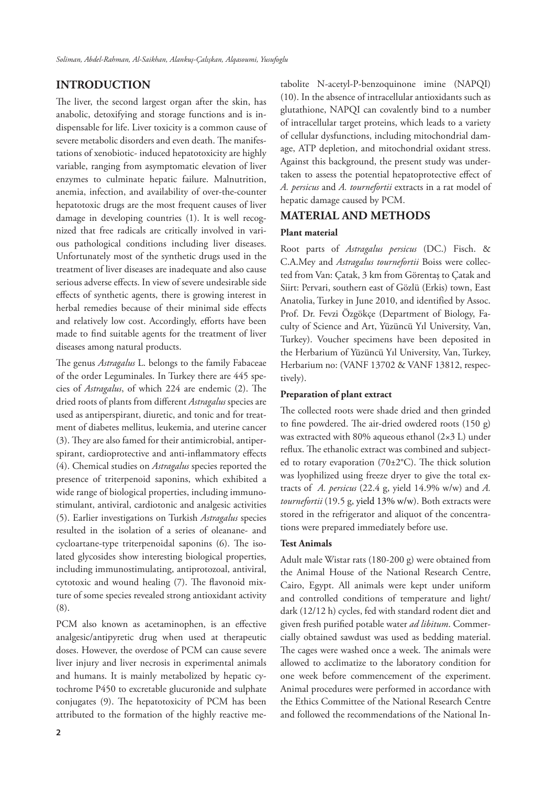# **INTRODUCTION**

The liver, the second largest organ after the skin, has anabolic, detoxifying and storage functions and is indispensable for life. Liver toxicity is a common cause of severe metabolic disorders and even death. The manifestations of xenobiotic- induced hepatotoxicity are highly variable, ranging from asymptomatic elevation of liver enzymes to culminate hepatic failure. Malnutrition, anemia, infection, and availability of over-the-counter hepatotoxic drugs are the most frequent causes of liver damage in developing countries (1). It is well recognized that free radicals are critically involved in various pathological conditions including liver diseases. Unfortunately most of the synthetic drugs used in the treatment of liver diseases are inadequate and also cause serious adverse effects. In view of severe undesirable side effects of synthetic agents, there is growing interest in herbal remedies because of their minimal side effects and relatively low cost. Accordingly, efforts have been made to find suitable agents for the treatment of liver diseases among natural products.

The genus *Astragalus* L. belongs to the family Fabaceae of the order Leguminales. In Turkey there are 445 species of *Astragalus*, of which 224 are endemic (2). The dried roots of plants from different *Astragalus* species are used as antiperspirant, diuretic, and tonic and for treatment of diabetes mellitus, leukemia, and uterine cancer (3). They are also famed for their antimicrobial, antiperspirant, cardioprotective and anti-inflammatory effects (4). Chemical studies on *Astragalus* species reported the presence of triterpenoid saponins, which exhibited a wide range of biological properties, including immunostimulant, antiviral, cardiotonic and analgesic activities (5). Earlier investigations on Turkish *Astragalus* species resulted in the isolation of a series of oleanane- and cycloartane-type triterpenoidal saponins (6). The isolated glycosides show interesting biological properties, including immunostimulating, antiprotozoal, antiviral, cytotoxic and wound healing (7). The flavonoid mixture of some species revealed strong antioxidant activity (8).

PCM also known as acetaminophen, is an effective analgesic/antipyretic drug when used at therapeutic doses. However, the overdose of PCM can cause severe liver injury and liver necrosis in experimental animals and humans. It is mainly metabolized by hepatic cytochrome P450 to excretable glucuronide and sulphate conjugates (9). The hepatotoxicity of PCM has been attributed to the formation of the highly reactive me-

tabolite N-acetyl-P-benzoquinone imine (NAPQI) (10). In the absence of intracellular antioxidants such as glutathione, NAPQI can covalently bind to a number of intracellular target proteins, which leads to a variety of cellular dysfunctions, including mitochondrial damage, ATP depletion, and mitochondrial oxidant stress. Against this background, the present study was undertaken to assess the potential hepatoprotective effect of *A. persicus* and *A. tournefortii* extracts in a rat model of hepatic damage caused by PCM.

## **MATERIAL AND METHODS**

## **Plant material**

Root parts of *Astragalus persicus* (DC.) Fisch. & C.A.Mey and *Astragalus tournefortii* Boiss were collected from Van: Çatak, 3 km from Görentaş to Çatak and Siirt: Pervari, southern east of Gözlü (Erkis) town, East Anatolia, Turkey in June 2010, and identified by Assoc. Prof. Dr. Fevzi Özgökçe (Department of Biology, Faculty of Science and Art, Yüzüncü Yıl University, Van, Turkey). Voucher specimens have been deposited in the Herbarium of Yüzüncü Yıl University, Van, Turkey, Herbarium no: (VANF 13702 & VANF 13812, respectively).

## **Preparation of plant extract**

The collected roots were shade dried and then grinded to fine powdered. The air-dried owdered roots (150 g) was extracted with 80% aqueous ethanol  $(2\times3 \text{ L})$  under reflux. The ethanolic extract was combined and subjected to rotary evaporation (70±2°C). The thick solution was lyophilized using freeze dryer to give the total extracts of *A. persicus* (22.4 g, yield 14.9% w/w) and *A. tournefortii* (19.5 g, yield 13% w/w). Both extracts were stored in the refrigerator and aliquot of the concentrations were prepared immediately before use.

#### **Test Animals**

Adult male Wistar rats (180-200 g) were obtained from the Animal House of the National Research Centre, Cairo, Egypt. All animals were kept under uniform and controlled conditions of temperature and light/ dark (12/12 h) cycles, fed with standard rodent diet and given fresh purified potable water *ad libitum*. Commercially obtained sawdust was used as bedding material. The cages were washed once a week. The animals were allowed to acclimatize to the laboratory condition for one week before commencement of the experiment. Animal procedures were performed in accordance with the Ethics Committee of the National Research Centre and followed the recommendations of the National In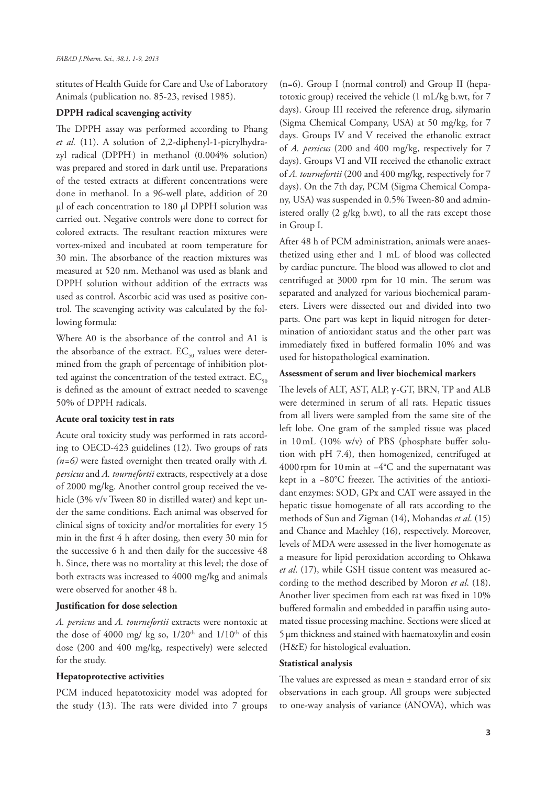stitutes of Health Guide for Care and Use of Laboratory Animals (publication no. 85-23, revised 1985).

## **DPPH radical scavenging activity**

The DPPH assay was performed according to Phang *et al.* (11). A solution of 2,2-diphenyl-1-picrylhydrazyl radical (DPPH. ) in methanol (0.004% solution) was prepared and stored in dark until use. Preparations of the tested extracts at different concentrations were done in methanol. In a 96-well plate, addition of 20 µl of each concentration to 180 µl DPPH solution was carried out. Negative controls were done to correct for colored extracts. The resultant reaction mixtures were vortex-mixed and incubated at room temperature for 30 min. The absorbance of the reaction mixtures was measured at 520 nm. Methanol was used as blank and DPPH solution without addition of the extracts was used as control. Ascorbic acid was used as positive control. The scavenging activity was calculated by the following formula:

Where A0 is the absorbance of the control and A1 is the absorbance of the extract.  $EC_{50}$  values were determined from the graph of percentage of inhibition plotted against the concentration of the tested extract.  $EC_{50}$ is defined as the amount of extract needed to scavenge 50% of DPPH radicals.

## **Acute oral toxicity test in rats**

Acute oral toxicity study was performed in rats according to OECD-423 guidelines (12). Two groups of rats *(n=6)* were fasted overnight then treated orally with *A. persicus* and *A. tournefortii* extracts, respectively at a dose of 2000 mg/kg. Another control group received the vehicle (3% v/v Tween 80 in distilled water) and kept under the same conditions. Each animal was observed for clinical signs of toxicity and/or mortalities for every 15 min in the first 4 h after dosing, then every 30 min for the successive 6 h and then daily for the successive 48 h. Since, there was no mortality at this level; the dose of both extracts was increased to 4000 mg/kg and animals were observed for another 48 h.

### **Justification for dose selection**

*A. persicus* and *A. tournefortii* extracts were nontoxic at the dose of 4000 mg/ kg so,  $1/20^{th}$  and  $1/10^{th}$  of this dose (200 and 400 mg/kg, respectively) were selected for the study.

#### **Hepatoprotective activities**

PCM induced hepatotoxicity model was adopted for the study (13). The rats were divided into 7 groups

(n=6). Group I (normal control) and Group II (hepatotoxic group) received the vehicle (1 mL/kg b.wt, for 7 days). Group III received the reference drug, silymarin (Sigma Chemical Company, USA) at 50 mg/kg, for 7 days. Groups IV and V received the ethanolic extract of *A. persicus* (200 and 400 mg/kg, respectively for 7 days). Groups VI and VII received the ethanolic extract of *A. tournefortii* (200 and 400 mg/kg, respectively for 7 days). On the 7th day, PCM (Sigma Chemical Company, USA) was suspended in 0.5% Tween-80 and administered orally (2 g/kg b.wt), to all the rats except those in Group I.

After 48 h of PCM administration, animals were anaesthetized using ether and 1 mL of blood was collected by cardiac puncture. The blood was allowed to clot and centrifuged at 3000 rpm for 10 min. The serum was separated and analyzed for various biochemical parameters. Livers were dissected out and divided into two parts. One part was kept in liquid nitrogen for determination of antioxidant status and the other part was immediately fixed in buffered formalin 10% and was used for histopathological examination.

#### **Assessment of serum and liver biochemical markers**

The levels of ALT, AST, ALP, γ-GT, BRN, TP and ALB were determined in serum of all rats. Hepatic tissues from all livers were sampled from the same site of the left lobe. One gram of the sampled tissue was placed in 10mL (10% w/v) of PBS (phosphate buffer solution with pH 7.4), then homogenized, centrifuged at 4000rpm for 10min at −4°C and the supernatant was kept in a −80°C freezer. The activities of the antioxidant enzymes: SOD, GPx and CAT were assayed in the hepatic tissue homogenate of all rats according to the methods of Sun and Zigman (14), Mohandas *et al*. (15) and Chance and Maehley (16), respectively. Moreover, levels of MDA were assessed in the liver homogenate as a measure for lipid peroxidation according to Ohkawa *et al*. (17), while GSH tissue content was measured according to the method described by Moron *et al*. (18). Another liver specimen from each rat was fixed in 10% buffered formalin and embedded in paraffin using automated tissue processing machine. Sections were sliced at 5µm thickness and stained with haematoxylin and eosin (H&E) for histological evaluation.

#### **Statistical analysis**

The values are expressed as mean ± standard error of six observations in each group. All groups were subjected to one-way analysis of variance (ANOVA), which was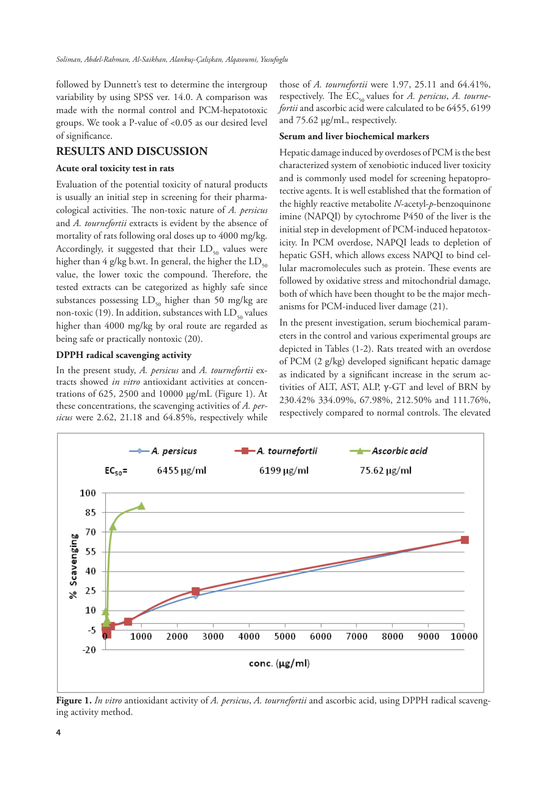followed by Dunnett's test to determine the intergroup variability by using SPSS ver. 14.0. A comparison was made with the normal control and PCM-hepatotoxic groups. We took a P-value of <0.05 as our desired level of significance.

## **RESULTS AND DISCUSSION**

## **Acute oral toxicity test in rats**

Evaluation of the potential toxicity of natural products is usually an initial step in screening for their pharmacological activities. The non-toxic nature of *A. persicus* and *A. tournefortii* extracts is evident by the absence of mortality of rats following oral doses up to 4000 mg/kg. Accordingly, it suggested that their  $LD_{50}$  values were higher than 4 g/kg b.wt. In general, the higher the  $LD_{50}$ value, the lower toxic the compound. Therefore, the tested extracts can be categorized as highly safe since substances possessing  $LD_{50}$  higher than 50 mg/kg are non-toxic (19). In addition, substances with  $LD_{50}$  values higher than 4000 mg/kg by oral route are regarded as being safe or practically nontoxic (20).

## **DPPH radical scavenging activity**

In the present study, *A. persicus* and *A. tournefortii* extracts showed *in vitro* antioxidant activities at concentrations of 625, 2500 and 10000 µg/mL (Figure 1). At these concentrations, the scavenging activities of *A. persicus* were 2.62, 21.18 and 64.85%, respectively while

those of *A. tournefortii* were 1.97, 25.11 and 64.41%, respectively. The EC<sub>50</sub> values for *A. persicus*, *A. tournefortii* and ascorbic acid were calculated to be 6455, 6199 and 75.62 µg/mL, respectively.

## **Serum and liver biochemical markers**

Hepatic damage induced by overdoses of PCM is the best characterized system of xenobiotic induced liver toxicity and is commonly used model for screening hepatoprotective agents. It is well established that the formation of the highly reactive metabolite *N*-acetyl-*p*-benzoquinone imine (NAPQI) by cytochrome P450 of the liver is the initial step in development of PCM-induced hepatotoxicity. In PCM overdose, NAPQI leads to depletion of hepatic GSH, which allows excess NAPQI to bind cellular macromolecules such as protein. These events are followed by oxidative stress and mitochondrial damage, both of which have been thought to be the major mechanisms for PCM-induced liver damage (21).

In the present investigation, serum biochemical parameters in the control and various experimental groups are depicted in Tables (1-2). Rats treated with an overdose of PCM (2 g/kg) developed significant hepatic damage as indicated by a significant increase in the serum activities of ALT, AST, ALP,  $γ$ -GT and level of BRN by 230.42% 334.09%, 67.98%, 212.50% and 111.76%, respectively compared to normal controls. The elevated



**Figure 1.** *In vitro* antioxidant activity of *A. persicus*, *A. tournefortii* and ascorbic acid, using DPPH radical scavenging activity method.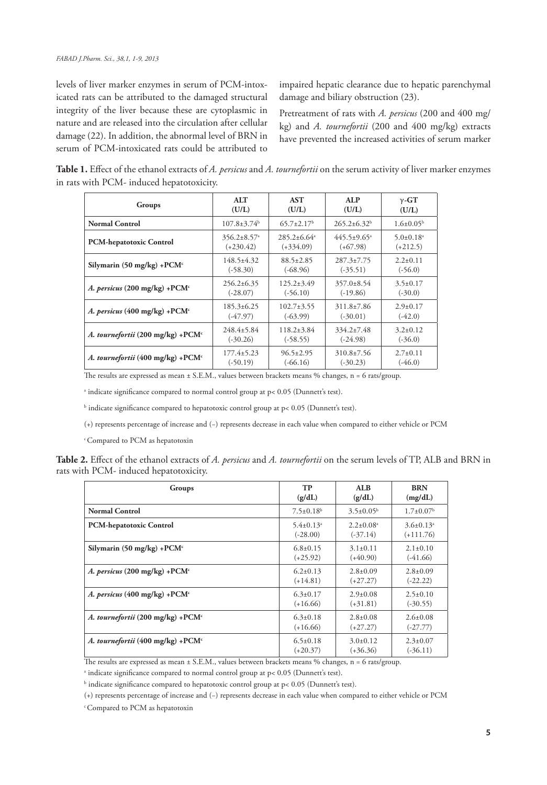levels of liver marker enzymes in serum of PCM-intoxicated rats can be attributed to the damaged structural integrity of the liver because these are cytoplasmic in nature and are released into the circulation after cellular damage (22). In addition, the abnormal level of BRN in serum of PCM-intoxicated rats could be attributed to

impaired hepatic clearance due to hepatic parenchymal damage and biliary obstruction (23).

Pretreatment of rats with *A. persicus* (200 and 400 mg/ kg) and *A. tournefortii* (200 and 400 mg/kg) extracts have prevented the increased activities of serum marker

**Table 1.** Effect of the ethanol extracts of *A. persicus* and *A. tournefortii* on the serum activity of liver marker enzymes in rats with PCM- induced hepatotoxicity.

| Groups                                    | ATT                           | <b>AST</b>             | <b>ALP</b>                    | $\gamma$ -GT                |  |
|-------------------------------------------|-------------------------------|------------------------|-------------------------------|-----------------------------|--|
|                                           | (U/L)                         | (U/L)                  | (U/L)                         | (U/L)                       |  |
| <b>Normal Control</b>                     | $107.8 \pm 3.74$ <sup>b</sup> | $65.7 \pm 2.17^b$      | $265.2\pm6.32^b$              | $1.6\pm0.05^{\rm b}$        |  |
| PCM-hepatotoxic Control                   | $356.2 \pm 8.57$ <sup>a</sup> | $285.2 + 6.64^{\circ}$ | $445.5 \pm 9.65$ <sup>a</sup> | $5.0 \pm 0.18$ <sup>a</sup> |  |
|                                           | $(+230.42)$                   | $(+334.09)$            | $(+67.98)$                    | $(+212.5)$                  |  |
| Silymarin (50 mg/kg) + $PCM$ <sup>c</sup> | $148.5 \pm 4.32$              | $88.5 \pm 2.85$        | $287.3 \pm 7.75$              | $2.2 \pm 0.11$              |  |
|                                           | $(-58.30)$                    | $(-68.96)$             | $(-35.51)$                    | $(-56.0)$                   |  |
| A. persicus (200 mg/kg) + $PCMc$          | $256.2\pm 6.35$               | $125.2 \pm 3.49$       | $357.0 \pm 8.54$              | $3.5 \pm 0.17$              |  |
|                                           | $(-28.07)$                    | $(-56.10)$             | $(-19.86)$                    | $(-30.0)$                   |  |
| A. persicus (400 mg/kg) +PCM $\cdot$      | $185.3 \pm 6.25$              | $102.7 \pm 3.55$       | $311.8 \pm 7.86$              | $2.9 \pm 0.17$              |  |
|                                           | $(-47.97)$                    | $(-63.99)$             | $(-30.01)$                    | $(-42.0)$                   |  |
| A. tournefortii (200 mg/kg) + $PCMc$      | $248.4 \pm 5.84$              | $118.2 \pm 3.84$       | $334.2 \pm 7.48$              | $3.2 \pm 0.12$              |  |
|                                           | $(-30.26)$                    | $(-58.55)$             | $(-24.98)$                    | $(-36.0)$                   |  |
| A. tournefortii (400 mg/kg) + $PCMc$      | $177.4 \pm 5.23$              | $96.5 \pm 2.95$        | $310.8 \pm 7.56$              | $2.7 \pm 0.11$              |  |
|                                           | $(-50.19)$                    | $(-66.16)$             | $(-30.23)$                    | $(-46.0)$                   |  |

The results are expressed as mean ± S.E.M., values between brackets means % changes, n = 6 rats/group.

a indicate significance compared to normal control group at p< 0.05 (Dunnett's test).

 $^{\rm b}$  indicate significance compared to hepatotoxic control group at p< 0.05 (Dunnett's test).

(+) represents percentage of increase and (−) represents decrease in each value when compared to either vehicle or PCM

c Compared to PCM as hepatotoxin

|  | Table 2. Effect of the ethanol extracts of A. persicus and A. tournefortii on the serum levels of TP, ALB and BRN in |  |  |  |  |  |  |
|--|----------------------------------------------------------------------------------------------------------------------|--|--|--|--|--|--|
|  | rats with PCM- induced hepatotoxicity.                                                                               |  |  |  |  |  |  |

| Groups                                        | TP                          | ALB                         | <b>BRN</b>           |
|-----------------------------------------------|-----------------------------|-----------------------------|----------------------|
|                                               | (g/dL)                      | (g/dL)                      | (mg/dL)              |
| <b>Normal Control</b>                         | $7.5 \pm 0.18$ <sup>b</sup> | $3.5 \pm 0.05^{\rm b}$      | $1.7\pm0.07b$        |
| <b>PCM-hepatotoxic Control</b>                | $5.4 \pm 0.13$ <sup>a</sup> | $2.2 \pm 0.08$ <sup>a</sup> | $3.6\pm0.13^{\circ}$ |
|                                               | $(-28.00)$                  | $(-37.14)$                  | $(+111.76)$          |
| Silymarin (50 mg/kg) + $PCM$ <sup>c</sup>     | $6.8 \pm 0.15$              | $3.1 \pm 0.11$              | $2.1+0.10$           |
|                                               | $(+25.92)$                  | $(+40.90)$                  | $(-41.66)$           |
| A. persicus (200 mg/kg) + $PCMc$              | $6.2 \pm 0.13$              | $2.8 \pm 0.09$              | $2.8 \pm 0.09$       |
|                                               | $(+14.81)$                  | $(+27.27)$                  | $(-22.22)$           |
| A. persicus (400 mg/kg) +PCM $\cdot$          | $6.3 \pm 0.17$              | $2.9 \pm 0.08$              | $2.5 \pm 0.10$       |
|                                               | $(+16.66)$                  | $(+31.81)$                  | $(-30.55)$           |
| A. tournefortii (200 mg/kg) +PCM <sup>c</sup> | $6.3 \pm 0.18$              | $2.8 \pm 0.08$              | $2.6 \pm 0.08$       |
|                                               | $(+16.66)$                  | $(+27.27)$                  | $(-27.77)$           |
| A. tournefortii (400 mg/kg) +PCM $\cdot$      | $6.5 \pm 0.18$              | $3.0 \pm 0.12$              | $2.3 \pm 0.07$       |
|                                               | $(+20.37)$                  | $(+36.36)$                  | $(-36.11)$           |

The results are expressed as mean ± S.E.M., values between brackets means % changes, n = 6 rats/group.

<sup>a</sup> indicate significance compared to normal control group at p< 0.05 (Dunnett's test).

 $^{\rm b}$  indicate significance compared to hepatotoxic control group at p< 0.05 (Dunnett's test).

<sup>(+)</sup> represents percentage of increase and (−) represents decrease in each value when compared to either vehicle or PCM

c Compared to PCM as hepatotoxin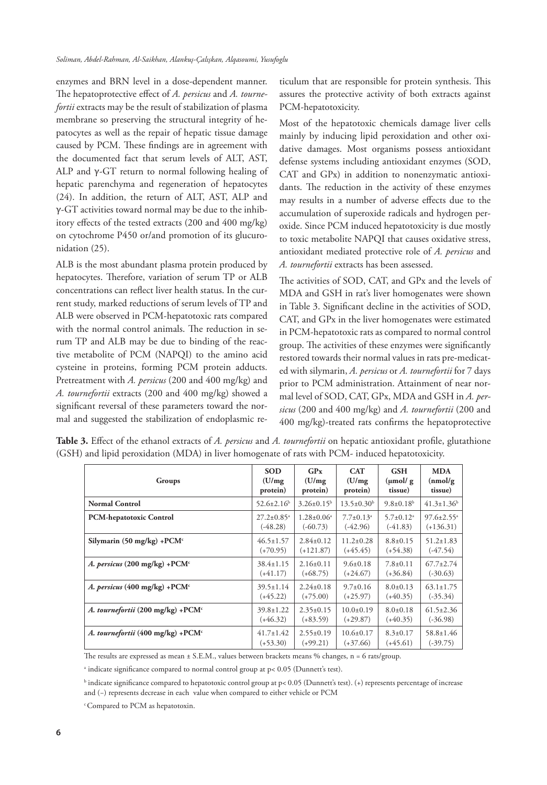enzymes and BRN level in a dose-dependent manner. The hepatoprotective effect of *A. persicus* and *A. tournefortii* extracts may be the result of stabilization of plasma membrane so preserving the structural integrity of hepatocytes as well as the repair of hepatic tissue damage caused by PCM. These findings are in agreement with the documented fact that serum levels of ALT, AST, ALP and γ-GT return to normal following healing of hepatic parenchyma and regeneration of hepatocytes (24). In addition, the return of ALT, AST, ALP and γ-GT activities toward normal may be due to the inhibitory effects of the tested extracts (200 and 400 mg/kg) on cytochrome P450 or/and promotion of its glucuronidation (25).

ALB is the most abundant plasma protein produced by hepatocytes. Therefore, variation of serum TP or ALB concentrations can reflect liver health status. In the current study, marked reductions of serum levels of TP and ALB were observed in PCM-hepatotoxic rats compared with the normal control animals. The reduction in serum TP and ALB may be due to binding of the reactive metabolite of PCM (NAPQI) to the amino acid cysteine in proteins, forming PCM protein adducts. Pretreatment with *A. persicus* (200 and 400 mg/kg) and *A. tournefortii* extracts (200 and 400 mg/kg) showed a significant reversal of these parameters toward the normal and suggested the stabilization of endoplasmic reticulum that are responsible for protein synthesis. This assures the protective activity of both extracts against PCM-hepatotoxicity.

Most of the hepatotoxic chemicals damage liver cells mainly by inducing lipid peroxidation and other oxidative damages. Most organisms possess antioxidant defense systems including antioxidant enzymes (SOD, CAT and GPx) in addition to nonenzymatic antioxidants. The reduction in the activity of these enzymes may results in a number of adverse effects due to the accumulation of superoxide radicals and hydrogen peroxide. Since PCM induced hepatotoxicity is due mostly to toxic metabolite NAPQI that causes oxidative stress, antioxidant mediated protective role of *A. persicus* and *A. tournefortii* extracts has been assessed.

The activities of SOD, CAT, and GPx and the levels of MDA and GSH in rat's liver homogenates were shown in Table 3. Significant decline in the activities of SOD, CAT, and GPx in the liver homogenates were estimated in PCM-hepatotoxic rats as compared to normal control group. The activities of these enzymes were significantly restored towards their normal values in rats pre-medicated with silymarin, *A. persicus* or *A. tournefortii* for 7 days prior to PCM administration. Attainment of near normal level of SOD, CAT, GPx, MDA and GSH in *A. persicus* (200 and 400 mg/kg) and *A. tournefortii* (200 and 400 mg/kg)-treated rats confirms the hepatoprotective

| Groups                               | <b>SOD</b>                   | GP <sub>x</sub>         | <b>CAT</b>                  | <b>GSH</b>                  | <b>MDA</b>                   |
|--------------------------------------|------------------------------|-------------------------|-----------------------------|-----------------------------|------------------------------|
|                                      | (U/mg)                       | (U/mg)                  | (U/mg)                      | $(\mu \text{mol}/g)$        | (nmol/g)                     |
|                                      | protein)                     | protein)                | protein)                    | tissue)                     | tissue)                      |
| <b>Normal Control</b>                | $52.6 \pm 2.16^b$            | $3.26 \pm 0.15^b$       | $13.5 \pm 0.30^{\rm b}$     | $9.8 \pm 0.18^b$            | $41.3 \pm 1.36$ <sup>b</sup> |
| <b>PCM-hepatotoxic Control</b>       | $27.2 \pm 0.85$ <sup>a</sup> | $1.28 \pm 0.06^{\circ}$ | $7.7 \pm 0.13$ <sup>a</sup> | $5.7 \pm 0.12$ <sup>a</sup> | $97.6 \pm 2.55$ <sup>a</sup> |
|                                      | $(-48.28)$                   | $(-60.73)$              | $(-42.96)$                  | $(-41.83)$                  | $(+136.31)$                  |
| Silymarin (50 mg/kg) + $PCMc$        | $46.5 \pm 1.57$              | $2.84 \pm 0.12$         | $11.2 \pm 0.28$             | $8.8 \pm 0.15$              | $51.2 \pm 1.83$              |
|                                      | $(+70.95)$                   | $(+121.87)$             | $(+45.45)$                  | $(+54.38)$                  | $(-47.54)$                   |
| A. persicus (200 mg/kg) + $PCMc$     | $38.4 \pm 1.15$              | $2.16\pm0.11$           | $9.6 \pm 0.18$              | $7.8 \pm 0.11$              | $67.7 \pm 2.74$              |
|                                      | $(+41.17)$                   | $(+68.75)$              | $(+24.67)$                  | $(+36.84)$                  | $(-30.63)$                   |
| A. persicus (400 mg/kg) + $PCMc$     | $39.5 \pm 1.14$              | $2.24 \pm 0.18$         | $9.7 \pm 0.16$              | $8.0 \pm 0.13$              | $63.1 \pm 1.75$              |
|                                      | $(+45.22)$                   | $(+75.00)$              | $(+25.97)$                  | $(+40.35)$                  | $(-35.34)$                   |
| A. tournefortii (200 mg/kg) + $PCMc$ | $39.8 \pm 1.22$              | $2.35 \pm 0.15$         | $10.0 \pm 0.19$             | $8.0 \pm 0.18$              | $61.5 \pm 2.36$              |
|                                      | $(+46.32)$                   | $(+83.59)$              | $(+29.87)$                  | $(+40.35)$                  | $(-36.98)$                   |
| A. tournefortii (400 mg/kg) + $PCMc$ | $41.7 \pm 1.42$              | $2.55 \pm 0.19$         | $10.6 \pm 0.17$             | $8.3 \pm 0.17$              | $58.8 \pm 1.46$              |
|                                      | $(+53.30)$                   | $(+99.21)$              | $(+37.66)$                  | $(+45.61)$                  | $(-39.75)$                   |

**Table 3.** Effect of the ethanol extracts of *A. persicus* and *A. tournefortii* on hepatic antioxidant profile, glutathione (GSH) and lipid peroxidation (MDA) in liver homogenate of rats with PCM- induced hepatotoxicity.

The results are expressed as mean ± S.E.M., values between brackets means % changes, n = 6 rats/group.

a indicate significance compared to normal control group at p< 0.05 (Dunnett's test).

b indicate significance compared to hepatotoxic control group at p< 0.05 (Dunnett's test). (+) represents percentage of increase and (−) represents decrease in each value when compared to either vehicle or PCM

c Compared to PCM as hepatotoxin.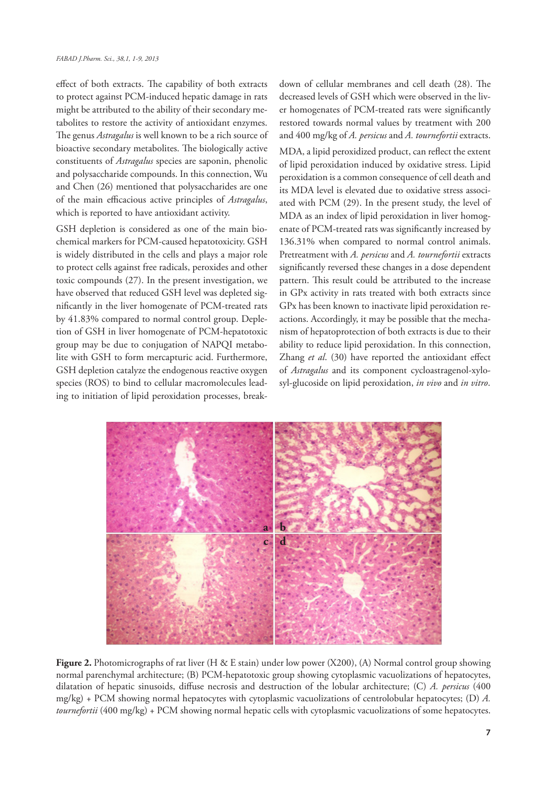effect of both extracts. The capability of both extracts to protect against PCM-induced hepatic damage in rats might be attributed to the ability of their secondary metabolites to restore the activity of antioxidant enzymes. The genus *Astragalus* is well known to be a rich source of bioactive secondary metabolites. The biologically active constituents of *Astragalus* species are saponin, phenolic and polysaccharide compounds. In this connection, Wu and Chen (26) mentioned that polysaccharides are one of the main efficacious active principles of *Astragalus*, which is reported to have antioxidant activity.

GSH depletion is considered as one of the main biochemical markers for PCM-caused hepatotoxicity. GSH is widely distributed in the cells and plays a major role to protect cells against free radicals, peroxides and other toxic compounds (27). In the present investigation, we have observed that reduced GSH level was depleted significantly in the liver homogenate of PCM-treated rats by 41.83% compared to normal control group. Depletion of GSH in liver homogenate of PCM-hepatotoxic group may be due to conjugation of NAPQI metabolite with GSH to form mercapturic acid. Furthermore, GSH depletion catalyze the endogenous reactive oxygen species (ROS) to bind to cellular macromolecules leading to initiation of lipid peroxidation processes, breakdown of cellular membranes and cell death (28). The decreased levels of GSH which were observed in the liver homogenates of PCM-treated rats were significantly restored towards normal values by treatment with 200 and 400 mg/kg of *A. persicus* and *A. tournefortii* extracts.

MDA, a lipid peroxidized product, can reflect the extent of lipid peroxidation induced by oxidative stress. Lipid peroxidation is a common consequence of cell death and its MDA level is elevated due to oxidative stress associated with PCM (29). In the present study, the level of MDA as an index of lipid peroxidation in liver homogenate of PCM-treated rats was significantly increased by 136.31% when compared to normal control animals. Pretreatment with *A. persicus* and *A. tournefortii* extracts significantly reversed these changes in a dose dependent pattern. This result could be attributed to the increase in GPx activity in rats treated with both extracts since GPx has been known to inactivate lipid peroxidation reactions. Accordingly, it may be possible that the mechanism of hepatoprotection of both extracts is due to their ability to reduce lipid peroxidation. In this connection, Zhang *et al*. (30) have reported the antioxidant effect of *Astragalus* and its component cycloastragenol-xylosyl-glucoside on lipid peroxidation, *in vivo* and *in vitro*.



Figure 2. Photomicrographs of rat liver (H & E stain) under low power (X200), (A) Normal control group showing normal parenchymal architecture; (B) PCM-hepatotoxic group showing cytoplasmic vacuolizations of hepatocytes, dilatation of hepatic sinusoids, diffuse necrosis and destruction of the lobular architecture; (C) *A. persicus* (400 mg/kg) + PCM showing normal hepatocytes with cytoplasmic vacuolizations of centrolobular hepatocytes; (D) *A. tournefortii* (400 mg/kg) + PCM showing normal hepatic cells with cytoplasmic vacuolizations of some hepatocytes.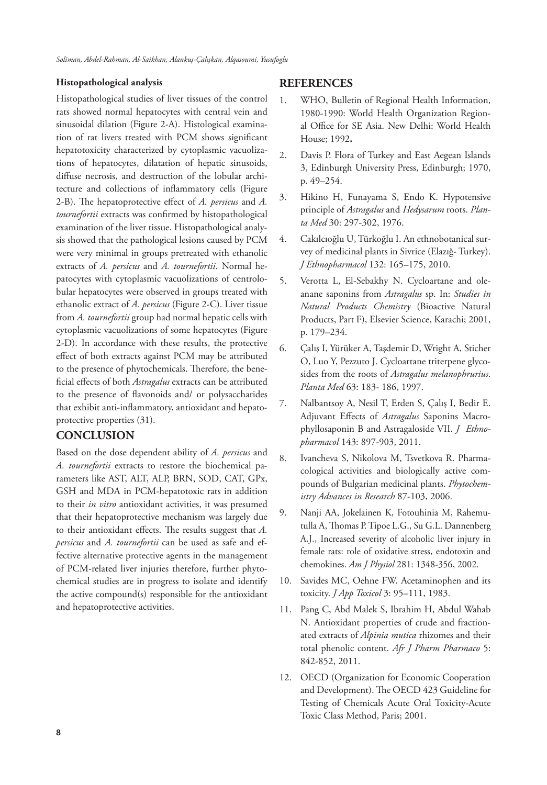## **Histopathological analysis**

Histopathological studies of liver tissues of the control rats showed normal hepatocytes with central vein and sinusoidal dilation (Figure 2-A). Histological examination of rat livers treated with PCM shows significant hepatotoxicity characterized by cytoplasmic vacuolizations of hepatocytes, dilatation of hepatic sinusoids, diffuse necrosis, and destruction of the lobular architecture and collections of inflammatory cells (Figure 2-B). The hepatoprotective effect of *A. persicus* and *A. tournefortii* extracts was confirmed by histopathological examination of the liver tissue. Histopathological analysis showed that the pathological lesions caused by PCM were very minimal in groups pretreated with ethanolic extracts of *A. persicus* and *A. tournefortii*. Normal hepatocytes with cytoplasmic vacuolizations of centrolobular hepatocytes were observed in groups treated with ethanolic extract of *A. persicus* (Figure 2-C). Liver tissue from *A. tournefortii* group had normal hepatic cells with cytoplasmic vacuolizations of some hepatocytes (Figure 2-D). In accordance with these results, the protective effect of both extracts against PCM may be attributed to the presence of phytochemicals. Therefore, the beneficial effects of both *Astragalus* extracts can be attributed to the presence of flavonoids and/ or polysaccharides that exhibit anti-inflammatory, antioxidant and hepatoprotective properties (31).

# **CONCLUSION**

Based on the dose dependent ability of *A. persicus* and *A. tournefortii* extracts to restore the biochemical parameters like AST, ALT, ALP, BRN, SOD, CAT, GPx, GSH and MDA in PCM-hepatotoxic rats in addition to their *in vitro* antioxidant activities, it was presumed that their hepatoprotective mechanism was largely due to their antioxidant effects. The results suggest that *A. persicus* and *A. tournefortii* can be used as safe and effective alternative protective agents in the management of PCM-related liver injuries therefore, further phytochemical studies are in progress to isolate and identify the active compound(s) responsible for the antioxidant and hepatoprotective activities.

## **REFERENCES**

- 1. WHO, Bulletin of Regional Health Information, 1980-1990: World Health Organization Regional Office for SE Asia. New Delhi: World Health House; 1992**.**
- 2. Davis P. Flora of Turkey and East Aegean Islands 3, Edinburgh University Press, Edinburgh; 1970, p. 49–254.
- 3. Hikino H, Funayama S, Endo K. Hypotensive principle of *Astragalus* and *Hedysarum* roots. *Planta Med* 30: 297-302, 1976.
- 4. Cakılcıoğlu U, Türkoğlu I. An ethnobotanical survey of medicinal plants in Sivrice (Elazığ- Turkey). *J Ethnopharmacol* 132: 165–175, 2010.
- 5. Verotta L, El-Sebakhy N. Cycloartane and oleanane saponins from *Astragalus* sp. In: *Studies in Natural Products Chemistry* (Bioactive Natural Products, Part F), Elsevier Science, Karachi; 2001, p. 179–234.
- 6. Çalış I, Yürüker A, Taşdemir D, Wright A, Sticher O, Luo Y, Pezzuto J. Cycloartane triterpene glycosides from the roots of *Astragalus melanophrurius*. *Planta Med* 63: 183- 186, 1997.
- 7. Nalbantsoy A, Nesil T, Erden S, Çalış I, Bedir E. Adjuvant Effects of *Astragalus* Saponins Macrophyllosaponin B and Astragaloside VII. *J Ethnopharmacol* 143: 897-903, 2011.
- 8. Ivancheva S, Nikolova M, Tsvetkova R. Pharmacological activities and biologically active compounds of Bulgarian medicinal plants. *Phytochemistry Advances in Research* 87-103, 2006.
- 9. Nanji AA, Jokelainen K, Fotouhinia M, Rahemutulla A, Thomas P. Tipoe L.G., Su G.L. Dannenberg A.J., Increased severity of alcoholic liver injury in female rats: role of oxidative stress, endotoxin and chemokines. *Am J Physiol* 281: 1348-356, 2002.
- 10. Savides MC, Oehne FW. Acetaminophen and its toxicity. *J App Toxicol* 3: 95–111, 1983.
- 11. Pang C, Abd Malek S, Ibrahim H, Abdul Wahab N. Antioxidant properties of crude and fractionated extracts of *Alpinia mutica* rhizomes and their total phenolic content. *Afr J Pharm Pharmaco* 5: 842-852, 2011.
- 12. OECD (Organization for Economic Cooperation and Development). The OECD 423 Guideline for Testing of Chemicals Acute Oral Toxicity-Acute Toxic Class Method, Paris; 2001.